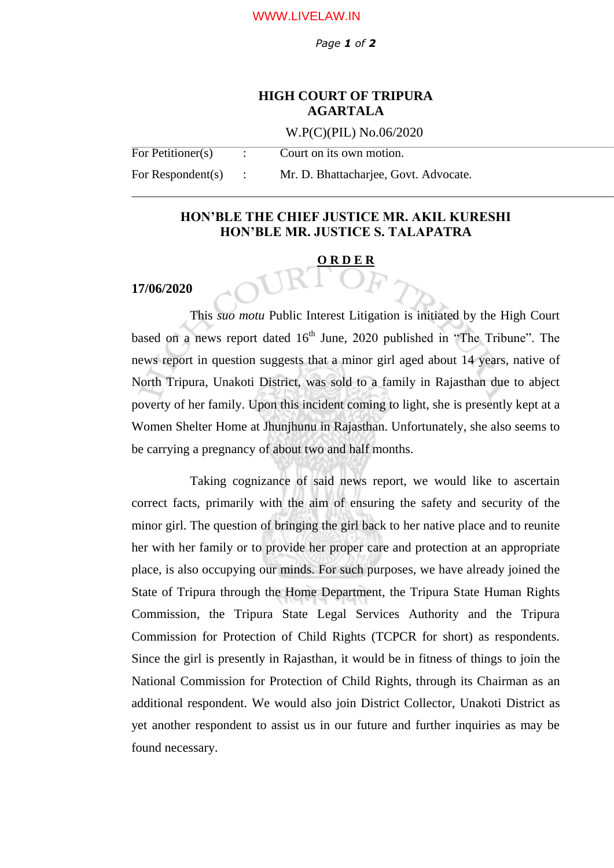#### WWW.LIVELAW.IN

*Page 1 of 2*

# **HIGH COURT OF TRIPURA AGARTALA**

W.P(C)(PIL) No.06/2020

| For Petitioner(s)    | Court on its own motion.              |
|----------------------|---------------------------------------|
| For Respondent $(s)$ | Mr. D. Bhattacharjee, Govt. Advocate. |

# **HON'BLE THE CHIEF JUSTICE MR. AKIL KURESHI HON'BLE MR. JUSTICE S. TALAPATRA**

#### **O R D E R**

### **17/06/2020**

This *suo motu* Public Interest Litigation is initiated by the High Court based on a news report dated  $16<sup>th</sup>$  June, 2020 published in "The Tribune". The news report in question suggests that a minor girl aged about 14 years, native of North Tripura, Unakoti District, was sold to a family in Rajasthan due to abject poverty of her family. Upon this incident coming to light, she is presently kept at a Women Shelter Home at Jhunjhunu in Rajasthan. Unfortunately, she also seems to be carrying a pregnancy of about two and half months.

Taking cognizance of said news report, we would like to ascertain correct facts, primarily with the aim of ensuring the safety and security of the minor girl. The question of bringing the girl back to her native place and to reunite her with her family or to provide her proper care and protection at an appropriate place, is also occupying our minds. For such purposes, we have already joined the State of Tripura through the Home Department, the Tripura State Human Rights Commission, the Tripura State Legal Services Authority and the Tripura Commission for Protection of Child Rights (TCPCR for short) as respondents. Since the girl is presently in Rajasthan, it would be in fitness of things to join the National Commission for Protection of Child Rights, through its Chairman as an additional respondent. We would also join District Collector, Unakoti District as yet another respondent to assist us in our future and further inquiries as may be found necessary.